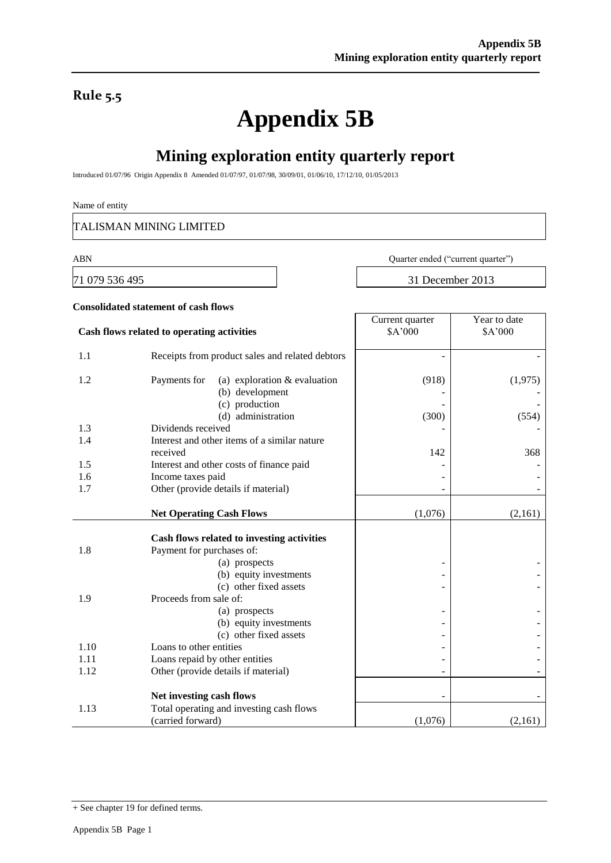### **Rule 5.5**

# **Appendix 5B**

## **Mining exploration entity quarterly report**

Introduced 01/07/96 Origin Appendix 8 Amended 01/07/97, 01/07/98, 30/09/01, 01/06/10, 17/12/10, 01/05/2013

#### Name of entity

TALISMAN MINING LIMITED

71 079 536 495 31 December 2013

ABN Quarter ended ("current quarter")

|      | <b>Consolidated statement of cash flows</b>                                                                           |                            |                         |
|------|-----------------------------------------------------------------------------------------------------------------------|----------------------------|-------------------------|
|      | Cash flows related to operating activities                                                                            | Current quarter<br>\$A'000 | Year to date<br>\$A'000 |
| 1.1  | Receipts from product sales and related debtors                                                                       |                            |                         |
| 1.2  | (a) exploration $&$ evaluation<br>Payments for<br>(b) development<br>(c) production<br>(d) administration             | (918)<br>(300)             | (1,975)<br>(554)        |
| 1.3  | Dividends received                                                                                                    |                            |                         |
| 1.4  | Interest and other items of a similar nature<br>received                                                              | 142                        | 368                     |
| 1.5  | Interest and other costs of finance paid                                                                              |                            |                         |
| 1.6  | Income taxes paid                                                                                                     |                            |                         |
| 1.7  | Other (provide details if material)                                                                                   |                            |                         |
|      | <b>Net Operating Cash Flows</b>                                                                                       | (1,076)                    | (2,161)                 |
| 1.8  | Cash flows related to investing activities<br>Payment for purchases of:<br>(a) prospects<br>(b) equity investments    |                            |                         |
| 1.9  | (c) other fixed assets<br>Proceeds from sale of:<br>(a) prospects<br>(b) equity investments<br>(c) other fixed assets |                            |                         |
| 1.10 | Loans to other entities                                                                                               |                            |                         |
| 1.11 | Loans repaid by other entities                                                                                        |                            |                         |
| 1.12 | Other (provide details if material)                                                                                   |                            |                         |
|      | Net investing cash flows                                                                                              |                            |                         |
| 1.13 | Total operating and investing cash flows<br>(carried forward)                                                         | (1,076)                    | (2,161)                 |

<sup>+</sup> See chapter 19 for defined terms.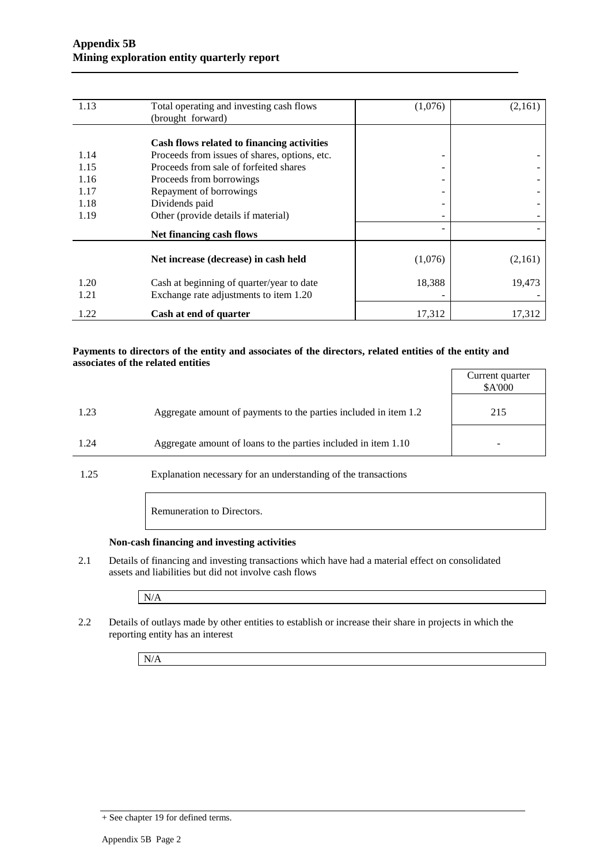| 1.13 | Total operating and investing cash flows      | (1,076) | (2,161) |
|------|-----------------------------------------------|---------|---------|
|      | (brought forward)                             |         |         |
|      |                                               |         |         |
|      | Cash flows related to financing activities    |         |         |
| 1.14 | Proceeds from issues of shares, options, etc. | -       |         |
| 1.15 | Proceeds from sale of forfeited shares        |         |         |
| 1.16 | Proceeds from borrowings                      |         |         |
| 1.17 | Repayment of borrowings                       |         |         |
| 1.18 | Dividends paid                                |         |         |
| 1.19 | Other (provide details if material)           |         |         |
|      | Net financing cash flows                      |         |         |
|      |                                               |         |         |
|      | Net increase (decrease) in cash held          | (1,076) | (2,161) |
| 1.20 | Cash at beginning of quarter/year to date     | 18,388  | 19,473  |
| 1.21 | Exchange rate adjustments to item 1.20        |         |         |
| 1.22 | Cash at end of quarter                        | 17,312  | 17,312  |

#### **Payments to directors of the entity and associates of the directors, related entities of the entity and associates of the related entities**

|      |                                                                  | Current quarter<br>\$A'000 |
|------|------------------------------------------------------------------|----------------------------|
| 1.23 | Aggregate amount of payments to the parties included in item 1.2 | 215                        |
| 1.24 | Aggregate amount of loans to the parties included in item 1.10   |                            |

1.25 Explanation necessary for an understanding of the transactions

Remuneration to Directors.

#### **Non-cash financing and investing activities**

2.1 Details of financing and investing transactions which have had a material effect on consolidated assets and liabilities but did not involve cash flows

N/A

2.2 Details of outlays made by other entities to establish or increase their share in projects in which the reporting entity has an interest

N/A

<sup>+</sup> See chapter 19 for defined terms.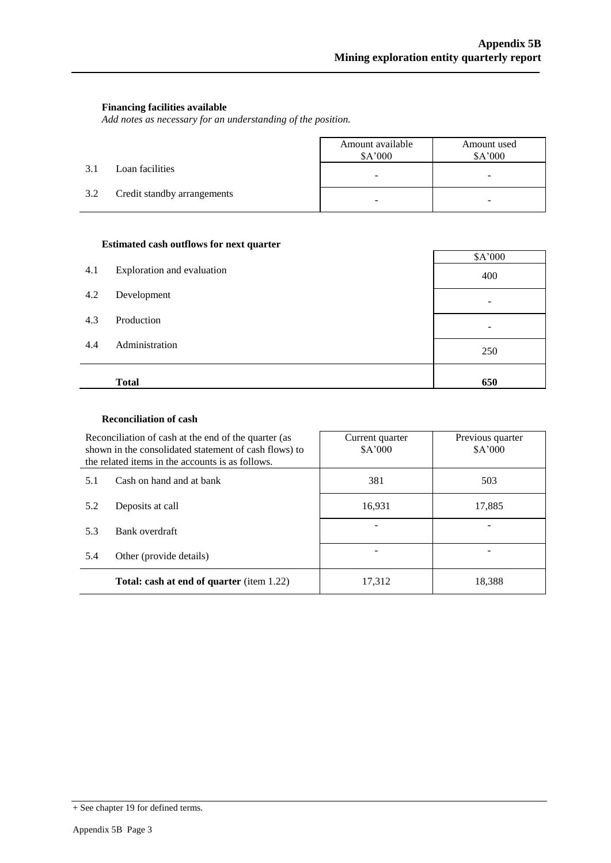#### **Financing facilities available**

*Add notes as necessary for an understanding of the position.*

|     |                             | Amount available<br>\$A'000 | Amount used<br>\$A'000 |
|-----|-----------------------------|-----------------------------|------------------------|
| 3.1 | Loan facilities             | -                           | -                      |
| 3.2 | Credit standby arrangements | -                           |                        |

#### **Estimated cash outflows for next quarter**

| 4.1 | Exploration and evaluation | \$A'000<br>400 |
|-----|----------------------------|----------------|
| 4.2 | Development                |                |
| 4.3 | Production                 |                |
| 4.4 | Administration             | 250            |
|     | <b>Total</b>               | 650            |

#### **Reconciliation of cash**

|     | Reconciliation of cash at the end of the quarter (as<br>shown in the consolidated statement of cash flows) to<br>the related items in the accounts is as follows. | Current quarter<br>\$A'000 | Previous quarter<br>\$A'000 |
|-----|-------------------------------------------------------------------------------------------------------------------------------------------------------------------|----------------------------|-----------------------------|
| 5.1 | Cash on hand and at bank                                                                                                                                          | 381                        | 503                         |
| 5.2 | Deposits at call                                                                                                                                                  | 16,931                     | 17,885                      |
| 5.3 | Bank overdraft                                                                                                                                                    |                            |                             |
| 5.4 | Other (provide details)                                                                                                                                           |                            |                             |
|     | <b>Total: cash at end of quarter</b> (item 1.22)                                                                                                                  | 17,312                     | 18,388                      |

<sup>+</sup> See chapter 19 for defined terms.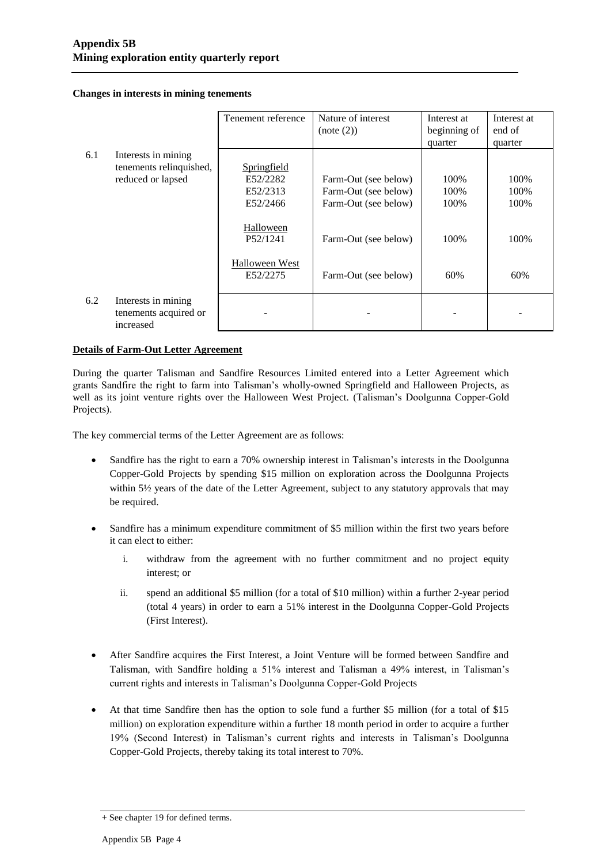**Changes in interests in mining tenements**

|     |                                                                     | Tenement reference                              | Nature of interest<br>(note (2))                                     | Interest at<br>beginning of<br>quarter | Interest at<br>end of<br>quarter |
|-----|---------------------------------------------------------------------|-------------------------------------------------|----------------------------------------------------------------------|----------------------------------------|----------------------------------|
| 6.1 | Interests in mining<br>tenements relinquished,<br>reduced or lapsed | Springfield<br>E52/2282<br>E52/2313<br>E52/2466 | Farm-Out (see below)<br>Farm-Out (see below)<br>Farm-Out (see below) | 100\%<br>100%<br>100%                  | 100%<br>100%<br>100%             |
|     |                                                                     | Halloween<br>P52/1241                           | Farm-Out (see below)                                                 | 100%                                   | 100%                             |
|     |                                                                     | Halloween West<br>E52/2275                      | Farm-Out (see below)                                                 | 60%                                    | 60%                              |
| 6.2 | Interests in mining<br>tenements acquired or<br>increased           |                                                 |                                                                      |                                        |                                  |

#### **Details of Farm-Out Letter Agreement**

During the quarter Talisman and Sandfire Resources Limited entered into a Letter Agreement which grants Sandfire the right to farm into Talisman's wholly-owned Springfield and Halloween Projects, as well as its joint venture rights over the Halloween West Project. (Talisman's Doolgunna Copper-Gold Projects).

The key commercial terms of the Letter Agreement are as follows:

- Sandfire has the right to earn a 70% ownership interest in Talisman's interests in the Doolgunna Copper-Gold Projects by spending \$15 million on exploration across the Doolgunna Projects within 5½ years of the date of the Letter Agreement, subject to any statutory approvals that may be required.
- Sandfire has a minimum expenditure commitment of \$5 million within the first two years before it can elect to either:
	- i. withdraw from the agreement with no further commitment and no project equity interest; or
	- ii. spend an additional \$5 million (for a total of \$10 million) within a further 2-year period (total 4 years) in order to earn a 51% interest in the Doolgunna Copper-Gold Projects (First Interest).
- After Sandfire acquires the First Interest, a Joint Venture will be formed between Sandfire and Talisman, with Sandfire holding a 51% interest and Talisman a 49% interest, in Talisman's current rights and interests in Talisman's Doolgunna Copper-Gold Projects
- At that time Sandfire then has the option to sole fund a further \$5 million (for a total of \$15 million) on exploration expenditure within a further 18 month period in order to acquire a further 19% (Second Interest) in Talisman's current rights and interests in Talisman's Doolgunna Copper-Gold Projects, thereby taking its total interest to 70%.

<sup>+</sup> See chapter 19 for defined terms.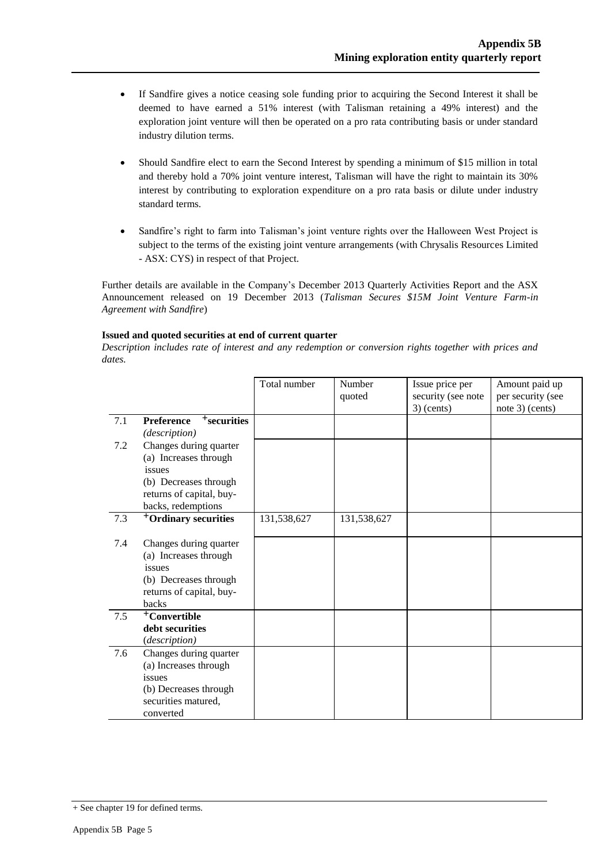- If Sandfire gives a notice ceasing sole funding prior to acquiring the Second Interest it shall be deemed to have earned a 51% interest (with Talisman retaining a 49% interest) and the exploration joint venture will then be operated on a pro rata contributing basis or under standard industry dilution terms.
- Should Sandfire elect to earn the Second Interest by spending a minimum of \$15 million in total and thereby hold a 70% joint venture interest, Talisman will have the right to maintain its 30% interest by contributing to exploration expenditure on a pro rata basis or dilute under industry standard terms.
- Sandfire's right to farm into Talisman's joint venture rights over the Halloween West Project is subject to the terms of the existing joint venture arrangements (with Chrysalis Resources Limited - ASX: CYS) in respect of that Project.

Further details are available in the Company's December 2013 Quarterly Activities Report and the ASX Announcement released on 19 December 2013 (*Talisman Secures \$15M Joint Venture Farm-in Agreement with Sandfire*)

#### **Issued and quoted securities at end of current quarter**

*Description includes rate of interest and any redemption or conversion rights together with prices and dates.*

|         |                                              | Total number | Number<br>quoted | Issue price per<br>security (see note<br>$3)$ (cents) | Amount paid up<br>per security (see<br>note 3) (cents) |
|---------|----------------------------------------------|--------------|------------------|-------------------------------------------------------|--------------------------------------------------------|
| 7.1     | <sup>+</sup> securities<br><b>Preference</b> |              |                  |                                                       |                                                        |
|         | (description)                                |              |                  |                                                       |                                                        |
| $7.2\,$ | Changes during quarter                       |              |                  |                                                       |                                                        |
|         | (a) Increases through                        |              |                  |                                                       |                                                        |
|         | issues                                       |              |                  |                                                       |                                                        |
|         | (b) Decreases through                        |              |                  |                                                       |                                                        |
|         | returns of capital, buy-                     |              |                  |                                                       |                                                        |
|         | backs, redemptions                           |              |                  |                                                       |                                                        |
| 7.3     | <sup>+</sup> Ordinary securities             | 131,538,627  | 131,538,627      |                                                       |                                                        |
| 7.4     | Changes during quarter                       |              |                  |                                                       |                                                        |
|         | (a) Increases through                        |              |                  |                                                       |                                                        |
|         | issues                                       |              |                  |                                                       |                                                        |
|         | (b) Decreases through                        |              |                  |                                                       |                                                        |
|         | returns of capital, buy-                     |              |                  |                                                       |                                                        |
|         | backs                                        |              |                  |                                                       |                                                        |
| 7.5     | <sup>+</sup> Convertible                     |              |                  |                                                       |                                                        |
|         | debt securities                              |              |                  |                                                       |                                                        |
|         | (description)                                |              |                  |                                                       |                                                        |
| 7.6     | Changes during quarter                       |              |                  |                                                       |                                                        |
|         | (a) Increases through                        |              |                  |                                                       |                                                        |
|         | issues                                       |              |                  |                                                       |                                                        |
|         | (b) Decreases through                        |              |                  |                                                       |                                                        |
|         | securities matured,                          |              |                  |                                                       |                                                        |
|         | converted                                    |              |                  |                                                       |                                                        |

<sup>+</sup> See chapter 19 for defined terms.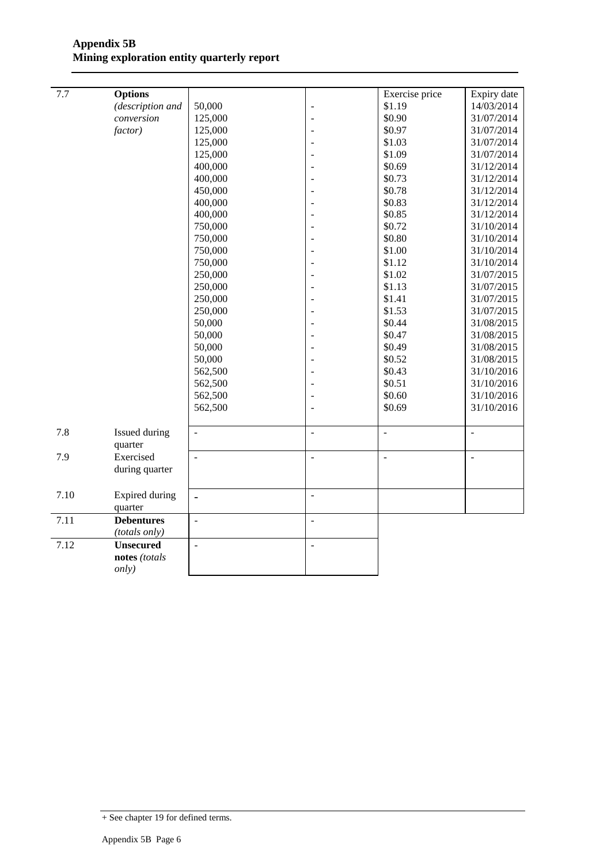| 7.7  | <b>Options</b>           |                          |                | Exercise price | Expiry date    |
|------|--------------------------|--------------------------|----------------|----------------|----------------|
|      | (description and         | 50,000                   |                | \$1.19         | 14/03/2014     |
|      | conversion               | 125,000                  |                | \$0.90         | 31/07/2014     |
|      | factor)                  | 125,000                  |                | \$0.97         | 31/07/2014     |
|      |                          | 125,000                  |                | \$1.03         | 31/07/2014     |
|      |                          | 125,000                  |                | \$1.09         | 31/07/2014     |
|      |                          | 400,000                  |                | \$0.69         | 31/12/2014     |
|      |                          | 400,000                  |                | \$0.73         | 31/12/2014     |
|      |                          | 450,000                  |                | \$0.78         | 31/12/2014     |
|      |                          | 400,000                  |                | \$0.83         | 31/12/2014     |
|      |                          | 400,000                  |                | \$0.85         | 31/12/2014     |
|      |                          | 750,000                  |                | \$0.72         | 31/10/2014     |
|      |                          | 750,000                  |                | \$0.80         | 31/10/2014     |
|      |                          | 750,000                  |                | \$1.00         | 31/10/2014     |
|      |                          | 750,000                  |                | \$1.12         | 31/10/2014     |
|      |                          | 250,000                  |                | \$1.02         | 31/07/2015     |
|      |                          | 250,000                  |                | \$1.13         | 31/07/2015     |
|      |                          | 250,000                  |                | \$1.41         | 31/07/2015     |
|      |                          | 250,000                  |                | \$1.53         | 31/07/2015     |
|      |                          | 50,000                   |                | \$0.44         | 31/08/2015     |
|      |                          | 50,000                   |                | \$0.47         | 31/08/2015     |
|      |                          | 50,000                   |                | \$0.49         | 31/08/2015     |
|      |                          | 50,000                   |                | \$0.52         | 31/08/2015     |
|      |                          | 562,500                  |                | \$0.43         | 31/10/2016     |
|      |                          | 562,500                  |                | \$0.51         | 31/10/2016     |
|      |                          | 562,500                  |                | \$0.60         | 31/10/2016     |
|      |                          | 562,500                  |                | \$0.69         | 31/10/2016     |
|      |                          |                          |                |                |                |
| 7.8  | Issued during<br>quarter | ÷.                       | $\overline{a}$ | ÷,             | ÷,             |
| 7.9  | Exercised                | $\sim$                   | $\overline{a}$ | $\overline{a}$ | $\overline{a}$ |
|      | during quarter           |                          |                |                |                |
|      |                          |                          |                |                |                |
| 7.10 | Expired during           | $\overline{a}$           | $\overline{a}$ |                |                |
|      | quarter                  |                          |                |                |                |
| 7.11 | <b>Debentures</b>        | $\overline{\phantom{a}}$ | ÷,             |                |                |
|      | (totals only)            |                          |                |                |                |
| 7.12 | <b>Unsecured</b>         | $\overline{a}$           | ÷,             |                |                |
|      | notes (totals            |                          |                |                |                |
|      | only)                    |                          |                |                |                |
|      |                          |                          |                |                |                |

<sup>+</sup> See chapter 19 for defined terms.